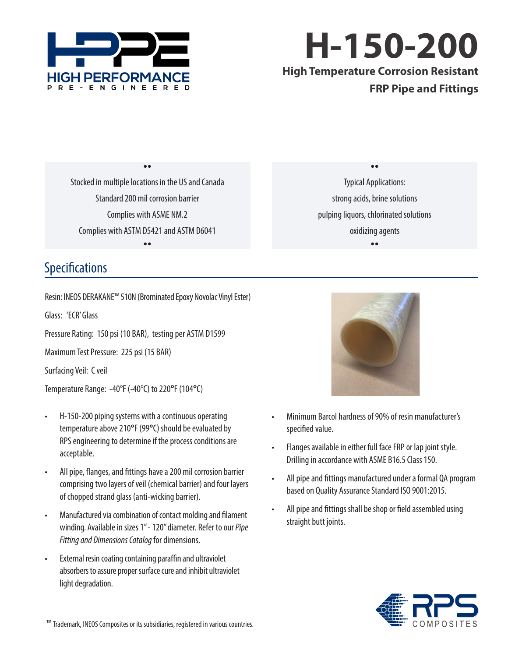

**H-150-200 High Temperature Corrosion Resistant FRP Pipe and Fittings**

Stocked in multiple locations in the US and Canada Standard 200 mil corrosion barrier Complies with ASME NM.2 Complies with ASTM D5421 and ASTM D6041  $\bullet$ 

 $\bullet \bullet$ 

 $\bullet \bullet$ Typical Applications: strong acids, brine solutions pulping liquors, chlorinated solutions oxidizing agents  $\bullet \bullet$ 

## Specifications

Resin: INEOS DERAKANE™ 510N (Brominated Epoxy Novolac Vinyl Ester)

Glass: 'ECR' Glass

Pressure Rating: 150 psi (10 BAR), testing per ASTM D1599

Maximum Test Pressure: 225 psi (15 BAR)

Surfacing Veil: C veil

Temperature Range: -40°F (-40°C) to 220**°**F (104**°**C)

- H-150-200 piping systems with a continuous operating temperature above 210**°**F (99**°**C) should be evaluated by RPS engineering to determine if the process conditions are acceptable.
- All pipe, flanges, and fittings have a 200 mil corrosion barrier comprising two layers of veil (chemical barrier) and four layers of chopped strand glass (anti-wicking barrier).
- Manufactured via combination of contact molding and filament winding. Available in sizes 1" - 120" diameter. Refer to our *Pipe Fitting and Dimensions Catalog* for dimensions.
- External resin coating containing paraffin and ultraviolet absorbers to assure proper surface cure and inhibit ultraviolet light degradation.



- Minimum Barcol hardness of 90% of resin manufacturer's specified value.
- Flanges available in either full face FRP or lap joint style. Drilling in accordance with ASME B16.5 Class 150.
- All pipe and fittings manufactured under a formal QA program based on Quality Assurance Standard ISO 9001:2015.
- All pipe and fittings shall be shop or field assembled using straight butt joints.



 <sup>™</sup> Trademark, INEOS Composites or its subsidiaries, registered in various countries.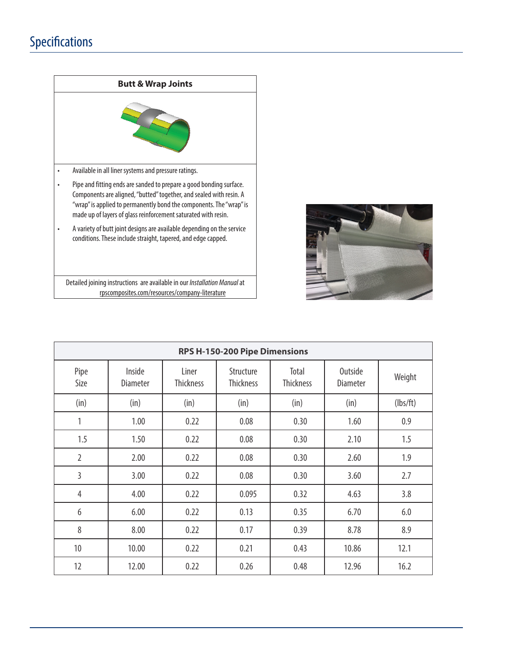## Specifications



Detailed joining instructions are available in our *Installation Manual* at rpscomposites.com/resources/company-literature



| RPS H-150-200 Pipe Dimensions |                           |                           |                               |                           |                            |          |  |  |
|-------------------------------|---------------------------|---------------------------|-------------------------------|---------------------------|----------------------------|----------|--|--|
| Pipe<br>Size                  | Inside<br><b>Diameter</b> | Liner<br><b>Thickness</b> | Structure<br><b>Thickness</b> | Total<br><b>Thickness</b> | Outside<br><b>Diameter</b> | Weight   |  |  |
| (in)                          | (in)                      | (in)                      | (in)                          | (in)                      | (in)                       | (lbs/ft) |  |  |
| 1                             | 1.00                      | 0.22                      | 0.08                          | 0.30                      | 1.60                       | 0.9      |  |  |
| 1.5                           | 1.50                      | 0.22                      | 0.08                          | 0.30                      | 2.10                       | 1.5      |  |  |
| $\overline{2}$                | 2.00                      | 0.22                      | 0.08                          | 0.30                      | 2.60                       | 1.9      |  |  |
| 3                             | 3.00                      | 0.22                      | 0.08                          | 0.30                      | 3.60                       | 2.7      |  |  |
| $\overline{4}$                | 4.00                      | 0.22                      | 0.095                         | 0.32                      | 4.63                       | 3.8      |  |  |
| 6                             | 6.00                      | 0.22                      | 0.13                          | 0.35                      | 6.70                       | 6.0      |  |  |
| 8                             | 8.00                      | 0.22                      | 0.17                          | 0.39                      | 8.78                       | 8.9      |  |  |
| 10                            | 10.00                     | 0.22                      | 0.21                          | 0.43                      | 10.86                      | 12.1     |  |  |
| 12                            | 12.00                     | 0.22                      | 0.26                          | 0.48                      | 12.96                      | 16.2     |  |  |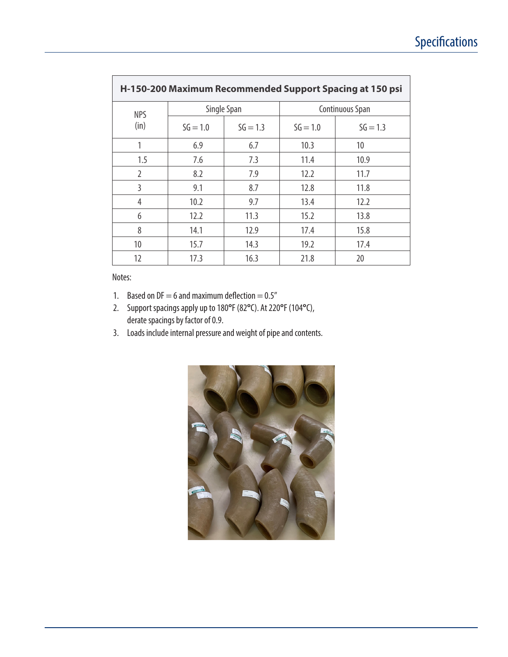| H-150-200 Maximum Recommended Support Spacing at 150 psi |            |             |                 |            |  |  |  |  |
|----------------------------------------------------------|------------|-------------|-----------------|------------|--|--|--|--|
| <b>NPS</b>                                               |            | Single Span | Continuous Span |            |  |  |  |  |
| (in)                                                     | $SG = 1.0$ | $SG = 1.3$  | $SG = 1.0$      | $SG = 1.3$ |  |  |  |  |
|                                                          | 6.9        | 6.7         | 10.3            | 10         |  |  |  |  |
| 1.5                                                      | 7.6        | 7.3         | 11.4            | 10.9       |  |  |  |  |
| $\overline{2}$                                           | 8.2        | 7.9         | 12.2            | 11.7       |  |  |  |  |
| 3                                                        | 9.1        | 8.7         | 12.8            | 11.8       |  |  |  |  |
| 4                                                        | 10.2       | 9.7         | 13.4            | 12.2       |  |  |  |  |
| 6                                                        | 12.2       | 11.3        | 15.2            | 13.8       |  |  |  |  |
| 8                                                        | 14.1       | 12.9        | 17.4            | 15.8       |  |  |  |  |
| 10                                                       | 15.7       | 14.3        | 19.2            | 17.4       |  |  |  |  |
| 12                                                       | 17.3       | 16.3        | 21.8            | 20         |  |  |  |  |

Notes:

- 1. Based on  $DF = 6$  and maximum deflection  $= 0.5$ "
- 2. Support spacings apply up to 180**°**F (82**°**C). At 220**°**F (104**°**C), derate spacings by factor of 0.9.
- 3. Loads include internal pressure and weight of pipe and contents.